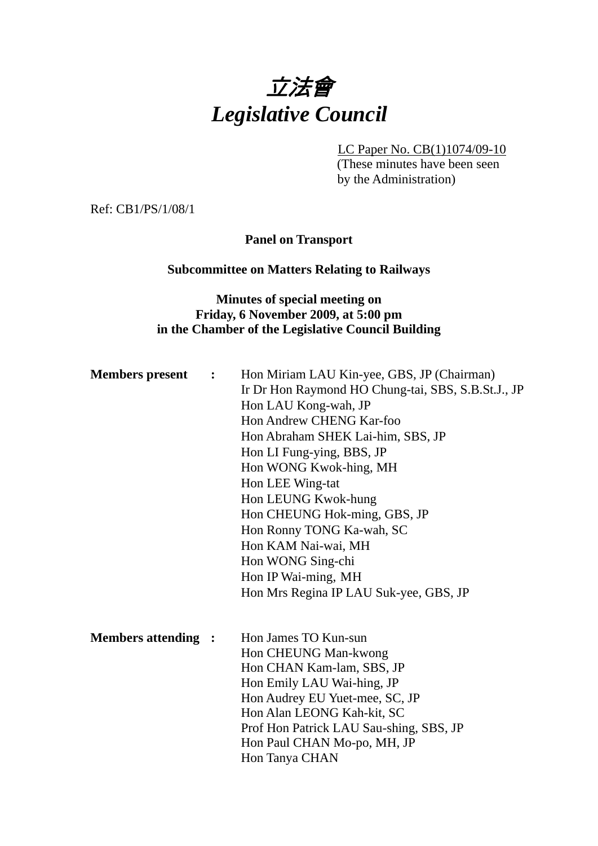

LC Paper No. CB(1)1074/09-10 (These minutes have been seen

by the Administration)

Ref: CB1/PS/1/08/1

**Panel on Transport** 

#### **Subcommittee on Matters Relating to Railways**

## **Minutes of special meeting on Friday, 6 November 2009, at 5:00 pm in the Chamber of the Legislative Council Building**

| <b>Members</b> present     | $\mathbf{L}$ | Hon Miriam LAU Kin-yee, GBS, JP (Chairman)         |
|----------------------------|--------------|----------------------------------------------------|
|                            |              | Ir Dr Hon Raymond HO Chung-tai, SBS, S.B.St.J., JP |
|                            |              | Hon LAU Kong-wah, JP                               |
|                            |              | Hon Andrew CHENG Kar-foo                           |
|                            |              | Hon Abraham SHEK Lai-him, SBS, JP                  |
|                            |              | Hon LI Fung-ying, BBS, JP                          |
|                            |              | Hon WONG Kwok-hing, MH                             |
|                            |              | Hon LEE Wing-tat                                   |
|                            |              | Hon LEUNG Kwok-hung                                |
|                            |              | Hon CHEUNG Hok-ming, GBS, JP                       |
|                            |              | Hon Ronny TONG Ka-wah, SC                          |
|                            |              | Hon KAM Nai-wai, MH                                |
|                            |              | Hon WONG Sing-chi                                  |
|                            |              | Hon IP Wai-ming, MH                                |
|                            |              | Hon Mrs Regina IP LAU Suk-yee, GBS, JP             |
|                            |              |                                                    |
| <b>Members attending :</b> |              | Hon James TO Kun-sun                               |
|                            |              | Hon CHEUNG Man-kwong                               |
|                            |              | Hon CHAN Kam-lam, SBS, JP                          |
|                            |              | Hon Emily LAU Wai-hing, JP                         |
|                            |              | Hon Audrey EU Yuet-mee, SC, JP                     |
|                            |              | Hon Alan LEONG Kah-kit, SC                         |
|                            |              | Prof Hon Patrick LAU Sau-shing, SBS, JP            |
|                            |              | Hon Paul CHAN Mo-po, MH, JP                        |
|                            |              | Hon Tanya CHAN                                     |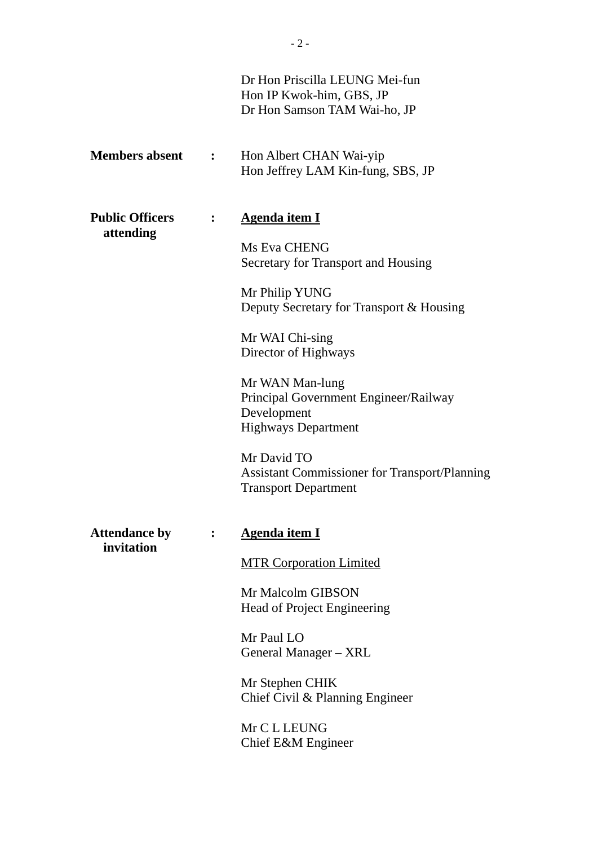|                                    |              | Dr Hon Priscilla LEUNG Mei-fun<br>Hon IP Kwok-him, GBS, JP<br>Dr Hon Samson TAM Wai-ho, JP            |
|------------------------------------|--------------|-------------------------------------------------------------------------------------------------------|
| <b>Members absent</b>              | $\mathbf{L}$ | Hon Albert CHAN Wai-yip<br>Hon Jeffrey LAM Kin-fung, SBS, JP                                          |
| <b>Public Officers</b>             |              | <b>Agenda item I</b>                                                                                  |
| attending                          |              | Ms Eva CHENG<br>Secretary for Transport and Housing                                                   |
|                                    |              | Mr Philip YUNG<br>Deputy Secretary for Transport & Housing                                            |
|                                    |              | Mr WAI Chi-sing<br>Director of Highways                                                               |
|                                    |              | Mr WAN Man-lung<br>Principal Government Engineer/Railway<br>Development<br><b>Highways Department</b> |
|                                    |              | Mr David TO<br><b>Assistant Commissioner for Transport/Planning</b><br><b>Transport Department</b>    |
| <b>Attendance by</b><br>invitation |              | Agenda item I                                                                                         |
|                                    |              | <b>MTR Corporation Limited</b>                                                                        |
|                                    |              | Mr Malcolm GIBSON<br>Head of Project Engineering                                                      |
|                                    |              | Mr Paul LO<br>General Manager – XRL                                                                   |
|                                    |              | Mr Stephen CHIK<br>Chief Civil & Planning Engineer                                                    |
|                                    |              | Mr C L LEUNG<br>Chief E&M Engineer                                                                    |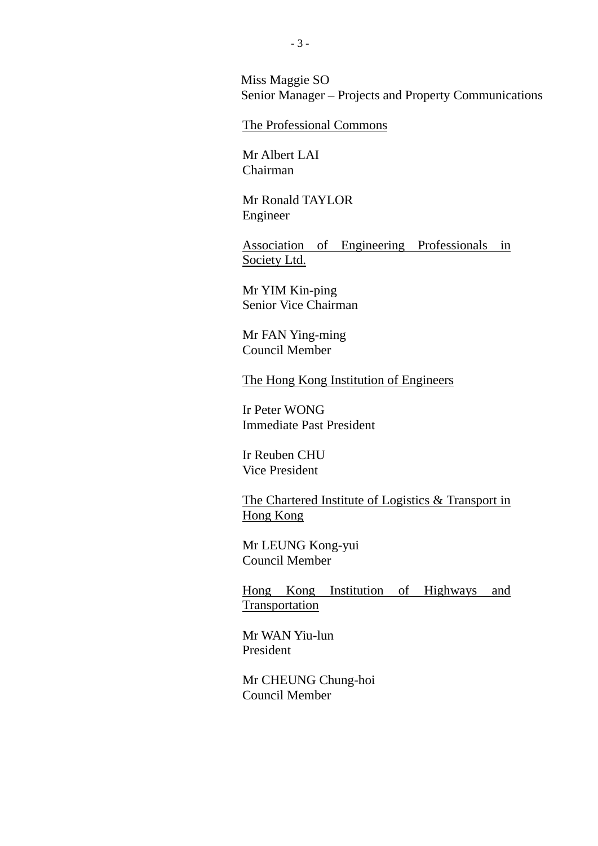Miss Maggie SO Senior Manager – Projects and Property Communications

#### The Professional Commons

Mr Albert LAI Chairman

Mr Ronald TAYLOR Engineer

Association of Engineering Professionals in Society Ltd.

Mr YIM Kin-ping Senior Vice Chairman

Mr FAN Ying-ming Council Member

The Hong Kong Institution of Engineers

Ir Peter WONG Immediate Past President

Ir Reuben CHU Vice President

The Chartered Institute of Logistics & Transport in Hong Kong

Mr LEUNG Kong-yui Council Member

Hong Kong Institution of Highways and **Transportation** 

Mr WAN Yiu-lun President

Mr CHEUNG Chung-hoi Council Member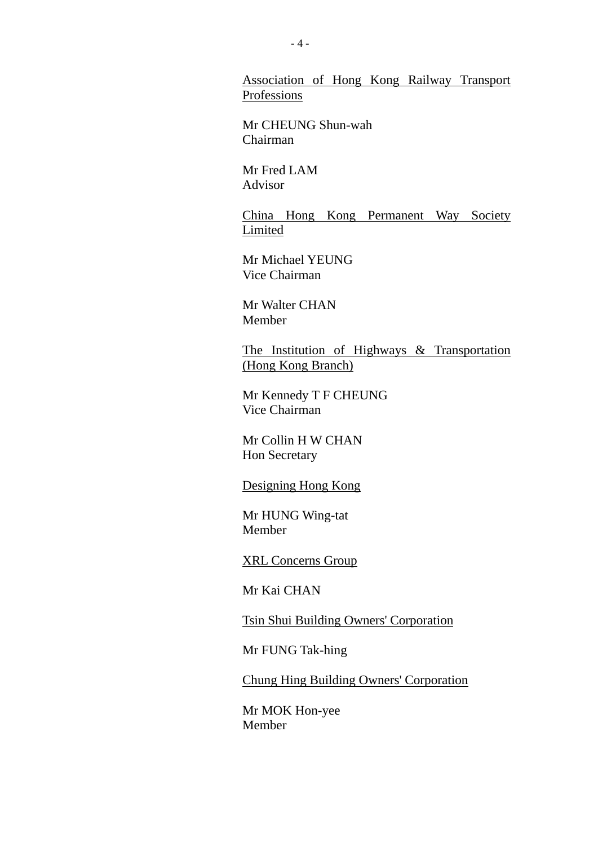Association of Hong Kong Railway Transport Professions

Mr CHEUNG Shun-wah Chairman

Mr Fred LAM Advisor

China Hong Kong Permanent Way Society Limited

Mr Michael YEUNG Vice Chairman

Mr Walter CHAN Member

The Institution of Highways & Transportation (Hong Kong Branch)

Mr Kennedy T F CHEUNG Vice Chairman

Mr Collin H W CHAN Hon Secretary

Designing Hong Kong

Mr HUNG Wing-tat Member

XRL Concerns Group

Mr Kai CHAN

Tsin Shui Building Owners' Corporation

Mr FUNG Tak-hing

Chung Hing Building Owners' Corporation

Mr MOK Hon-yee Member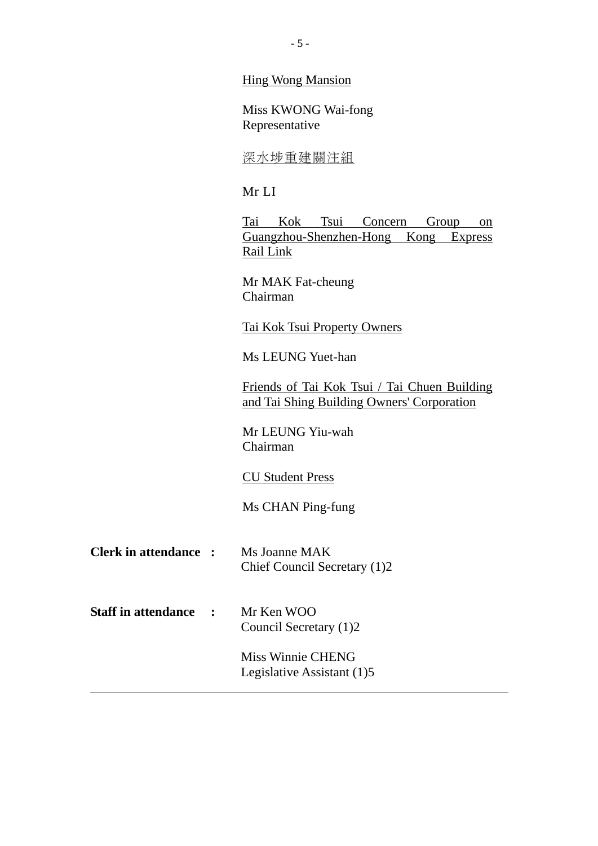Hing Wong Mansion

Miss KWONG Wai-fong Representative

#### 深水重建關注組

#### Mr LI

Tai Kok Tsui Concern Group on Guangzhou-Shenzhen-Hong Kong Express Rail Link

Mr MAK Fat-cheung Chairman

Tai Kok Tsui Property Owners

Ms LEUNG Yuet-han

Friends of Tai Kok Tsui / Tai Chuen Building and Tai Shing Building Owners' Corporation

Mr LEUNG Yiu-wah Chairman

#### CU Student Press

Ms CHAN Ping-fung

- **Clerk in attendance :** Ms Joanne MAK Chief Council Secretary (1)2
- **Staff in attendance :** Mr Ken WOO Council Secretary (1)2

Miss Winnie CHENG Legislative Assistant (1)5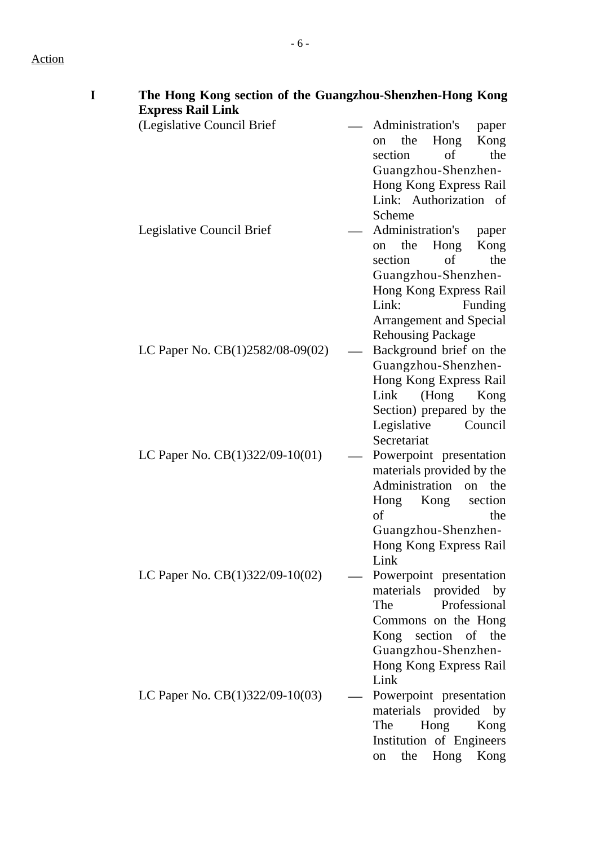# Action

| The Hong Kong section of the Guangzhou-Shenzhen-Hong Kong<br><b>Express Rail Link</b> |                                                                                                                                                                                                            |
|---------------------------------------------------------------------------------------|------------------------------------------------------------------------------------------------------------------------------------------------------------------------------------------------------------|
| (Legislative Council Brief                                                            | Administration's<br>paper<br>the<br>Hong<br>Kong<br>on<br>of<br>the<br>section<br>Guangzhou-Shenzhen-<br>Hong Kong Express Rail<br>Link: Authorization of<br>Scheme                                        |
| Legislative Council Brief                                                             | Administration's<br>paper<br>the<br>Hong<br>Kong<br>on<br>of<br>the<br>section<br>Guangzhou-Shenzhen-<br>Hong Kong Express Rail<br>Link:<br>Funding<br>Arrangement and Special<br><b>Rehousing Package</b> |
| LC Paper No. $CB(1)2582/08-09(02)$                                                    | Background brief on the<br>Guangzhou-Shenzhen-<br>Hong Kong Express Rail<br>Link<br>$($ Hong<br>Kong<br>Section) prepared by the<br>Legislative<br>Council<br>Secretariat                                  |
| LC Paper No. CB(1)322/09-10(01)                                                       | Powerpoint presentation<br>materials provided by the<br>Administration<br>on the<br>Hong<br>Kong<br>section<br>of<br>the<br>Guangzhou-Shenzhen-<br>Hong Kong Express Rail<br>Link                          |
| LC Paper No. $CB(1)322/09-10(02)$                                                     | Powerpoint presentation<br>materials provided by<br>Professional<br>The<br>Commons on the Hong<br>Kong section of the<br>Guangzhou-Shenzhen-<br>Hong Kong Express Rail<br>Link                             |
| LC Paper No. $CB(1)322/09-10(03)$                                                     | Powerpoint presentation<br>materials provided by<br>The<br>Hong<br>Kong<br>Institution of Engineers<br>Hong<br>the<br>Kong<br>on                                                                           |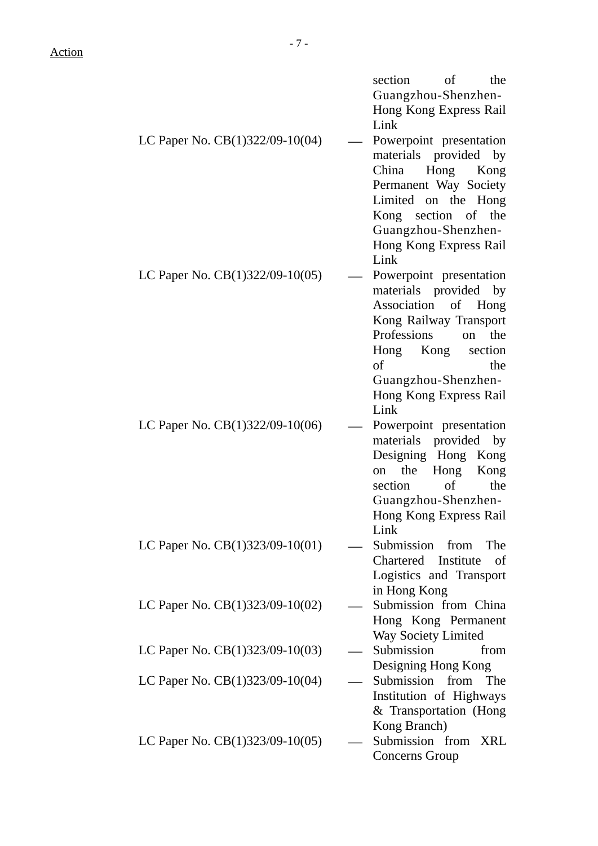|                                   | section<br>of<br>the       |
|-----------------------------------|----------------------------|
|                                   | Guangzhou-Shenzhen-        |
|                                   | Hong Kong Express Rail     |
|                                   | Link                       |
| LC Paper No. CB(1)322/09-10(04)   | Powerpoint presentation    |
|                                   | materials provided by      |
|                                   | China<br>Hong<br>Kong      |
|                                   | Permanent Way Society      |
|                                   | Limited on the Hong        |
|                                   | Kong section of the        |
|                                   | Guangzhou-Shenzhen-        |
|                                   | Hong Kong Express Rail     |
|                                   | Link                       |
| LC Paper No. $CB(1)322/09-10(05)$ | Powerpoint presentation    |
|                                   | materials provided by      |
|                                   | Association of Hong        |
|                                   | Kong Railway Transport     |
|                                   | Professions<br>on the      |
|                                   | Kong<br>section<br>Hong    |
|                                   | of<br>the                  |
|                                   | Guangzhou-Shenzhen-        |
|                                   | Hong Kong Express Rail     |
|                                   | Link                       |
| LC Paper No. $CB(1)322/09-10(06)$ | Powerpoint presentation    |
|                                   | materials provided by      |
|                                   | Designing Hong Kong        |
|                                   | the<br>Hong Kong<br>on     |
|                                   | of<br>the<br>section       |
|                                   | Guangzhou-Shenzhen-        |
|                                   | Hong Kong Express Rail     |
|                                   | Link                       |
| LC Paper No. $CB(1)323/09-10(01)$ | Submission from<br>The     |
|                                   | Chartered Institute<br>of  |
|                                   | Logistics and Transport    |
|                                   | in Hong Kong               |
| LC Paper No. $CB(1)323/09-10(02)$ | Submission from China      |
|                                   | Hong Kong Permanent        |
|                                   | <b>Way Society Limited</b> |
| LC Paper No. $CB(1)323/09-10(03)$ | Submission<br>from         |
|                                   | Designing Hong Kong        |
| LC Paper No. $CB(1)323/09-10(04)$ | Submission from<br>The     |
|                                   | Institution of Highways    |
|                                   | & Transportation (Hong     |
|                                   | Kong Branch)               |
| LC Paper No. $CB(1)323/09-10(05)$ | Submission from XRL        |
|                                   | Concerns Group             |
|                                   |                            |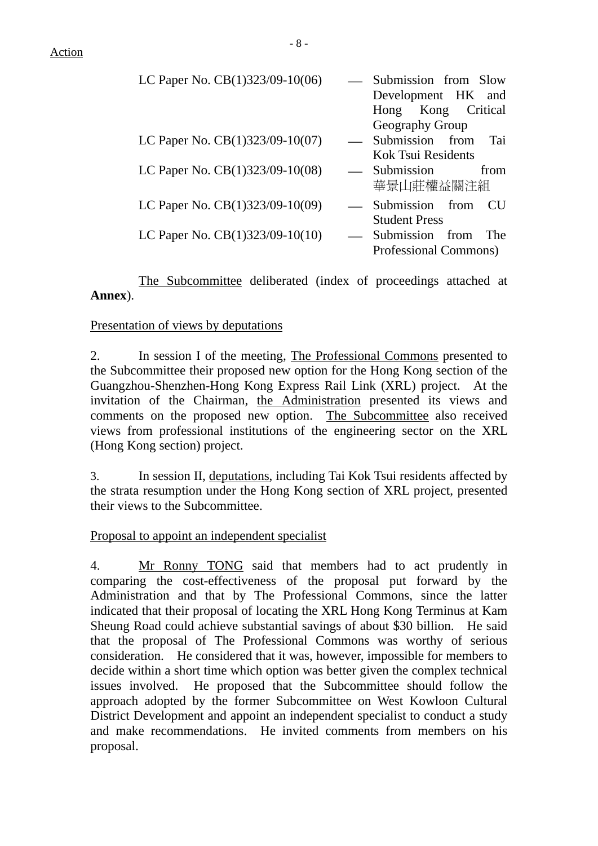| LC Paper No. CB(1)323/09-10(06)   | Submission from Slow<br>Development HK and |      |
|-----------------------------------|--------------------------------------------|------|
|                                   | Hong Kong Critical                         |      |
|                                   | Geography Group                            |      |
| LC Paper No. CB(1)323/09-10(07)   | Submission from                            | Tai  |
|                                   | <b>Kok Tsui Residents</b>                  |      |
| LC Paper No. CB(1)323/09-10(08)   | Submission                                 | from |
|                                   | 華景山莊權益關注組                                  |      |
| LC Paper No. CB(1)323/09-10(09)   | — Submission from                          | CU.  |
|                                   | <b>Student Press</b>                       |      |
| LC Paper No. $CB(1)323/09-10(10)$ | Submission from                            | The  |
|                                   | Professional Commons)                      |      |

The Subcommittee deliberated (index of proceedings attached at **Annex**).

### Presentation of views by deputations

2. In session I of the meeting, The Professional Commons presented to the Subcommittee their proposed new option for the Hong Kong section of the Guangzhou-Shenzhen-Hong Kong Express Rail Link (XRL) project. At the invitation of the Chairman, the Administration presented its views and comments on the proposed new option. The Subcommittee also received views from professional institutions of the engineering sector on the XRL (Hong Kong section) project.

3. In session II, deputations, including Tai Kok Tsui residents affected by the strata resumption under the Hong Kong section of XRL project, presented their views to the Subcommittee.

#### Proposal to appoint an independent specialist

4. Mr Ronny TONG said that members had to act prudently in comparing the cost-effectiveness of the proposal put forward by the Administration and that by The Professional Commons, since the latter indicated that their proposal of locating the XRL Hong Kong Terminus at Kam Sheung Road could achieve substantial savings of about \$30 billion. He said that the proposal of The Professional Commons was worthy of serious consideration. He considered that it was, however, impossible for members to decide within a short time which option was better given the complex technical issues involved. He proposed that the Subcommittee should follow the approach adopted by the former Subcommittee on West Kowloon Cultural District Development and appoint an independent specialist to conduct a study and make recommendations. He invited comments from members on his proposal.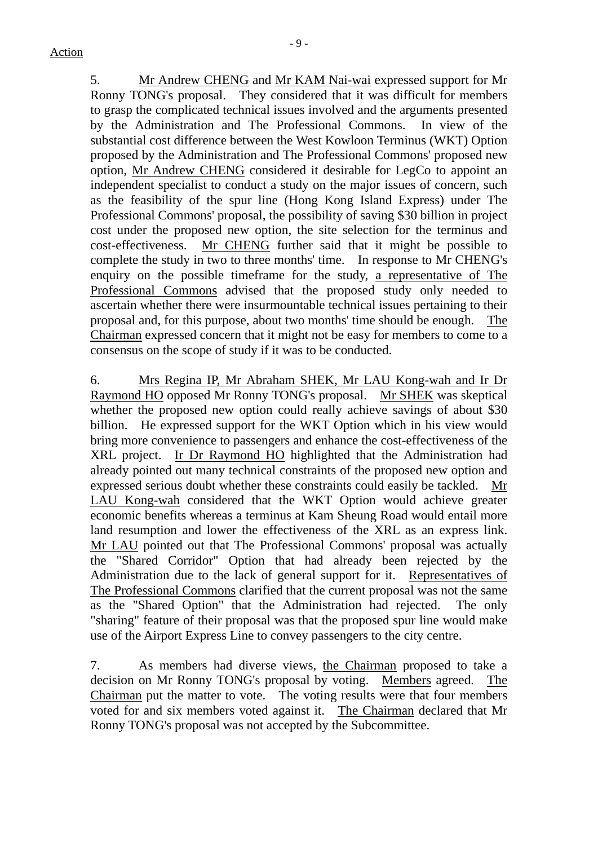5. Mr Andrew CHENG and Mr KAM Nai-wai expressed support for Mr Ronny TONG's proposal. They considered that it was difficult for members to grasp the complicated technical issues involved and the arguments presented by the Administration and The Professional Commons. In view of the substantial cost difference between the West Kowloon Terminus (WKT) Option proposed by the Administration and The Professional Commons' proposed new option, Mr Andrew CHENG considered it desirable for LegCo to appoint an independent specialist to conduct a study on the major issues of concern, such as the feasibility of the spur line (Hong Kong Island Express) under The Professional Commons' proposal, the possibility of saving \$30 billion in project cost under the proposed new option, the site selection for the terminus and cost-effectiveness. Mr CHENG further said that it might be possible to complete the study in two to three months' time. In response to Mr CHENG's enquiry on the possible timeframe for the study, a representative of The Professional Commons advised that the proposed study only needed to ascertain whether there were insurmountable technical issues pertaining to their proposal and, for this purpose, about two months' time should be enough. The Chairman expressed concern that it might not be easy for members to come to a consensus on the scope of study if it was to be conducted.

6. Mrs Regina IP, Mr Abraham SHEK, Mr LAU Kong-wah and Ir Dr Raymond HO opposed Mr Ronny TONG's proposal. Mr SHEK was skeptical whether the proposed new option could really achieve savings of about \$30 billion. He expressed support for the WKT Option which in his view would bring more convenience to passengers and enhance the cost-effectiveness of the XRL project. Ir Dr Raymond HO highlighted that the Administration had already pointed out many technical constraints of the proposed new option and expressed serious doubt whether these constraints could easily be tackled. Mr LAU Kong-wah considered that the WKT Option would achieve greater economic benefits whereas a terminus at Kam Sheung Road would entail more land resumption and lower the effectiveness of the XRL as an express link. Mr LAU pointed out that The Professional Commons' proposal was actually the "Shared Corridor" Option that had already been rejected by the Administration due to the lack of general support for it. Representatives of The Professional Commons clarified that the current proposal was not the same as the "Shared Option" that the Administration had rejected. The only "sharing" feature of their proposal was that the proposed spur line would make use of the Airport Express Line to convey passengers to the city centre.

7. As members had diverse views, the Chairman proposed to take a decision on Mr Ronny TONG's proposal by voting. Members agreed. The Chairman put the matter to vote. The voting results were that four members voted for and six members voted against it. The Chairman declared that Mr Ronny TONG's proposal was not accepted by the Subcommittee.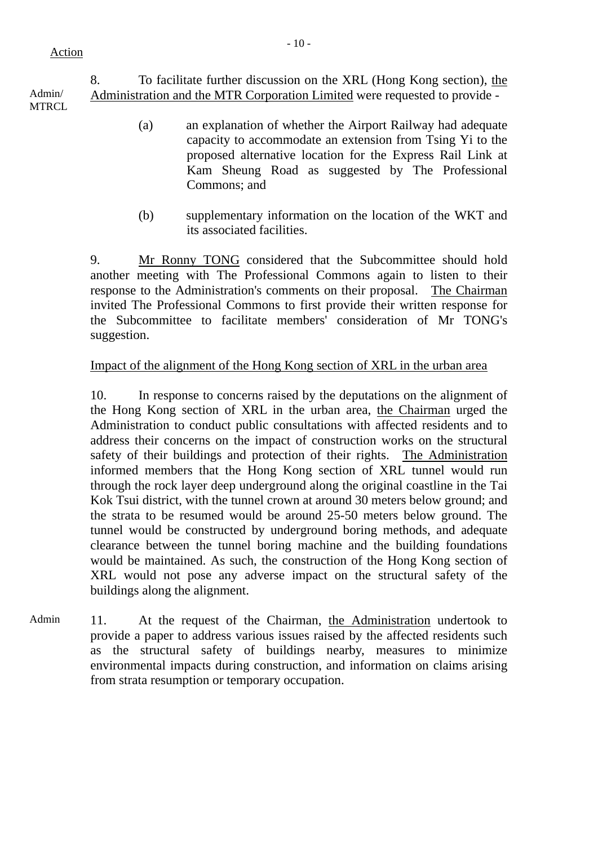8. To facilitate further discussion on the XRL (Hong Kong section), the Administration and the MTR Corporation Limited were requested to provide -

Admin/ MTRCL.

- (a) an explanation of whether the Airport Railway had adequate capacity to accommodate an extension from Tsing Yi to the proposed alternative location for the Express Rail Link at Kam Sheung Road as suggested by The Professional Commons; and
- (b) supplementary information on the location of the WKT and its associated facilities.

9. Mr Ronny TONG considered that the Subcommittee should hold another meeting with The Professional Commons again to listen to their response to the Administration's comments on their proposal. The Chairman invited The Professional Commons to first provide their written response for the Subcommittee to facilitate members' consideration of Mr TONG's suggestion.

## Impact of the alignment of the Hong Kong section of XRL in the urban area

10. In response to concerns raised by the deputations on the alignment of the Hong Kong section of XRL in the urban area, the Chairman urged the Administration to conduct public consultations with affected residents and to address their concerns on the impact of construction works on the structural safety of their buildings and protection of their rights. The Administration informed members that the Hong Kong section of XRL tunnel would run through the rock layer deep underground along the original coastline in the Tai Kok Tsui district, with the tunnel crown at around 30 meters below ground; and the strata to be resumed would be around 25-50 meters below ground. The tunnel would be constructed by underground boring methods, and adequate clearance between the tunnel boring machine and the building foundations would be maintained. As such, the construction of the Hong Kong section of XRL would not pose any adverse impact on the structural safety of the buildings along the alignment.

Admin 11. At the request of the Chairman, the Administration undertook to provide a paper to address various issues raised by the affected residents such as the structural safety of buildings nearby, measures to minimize environmental impacts during construction, and information on claims arising from strata resumption or temporary occupation.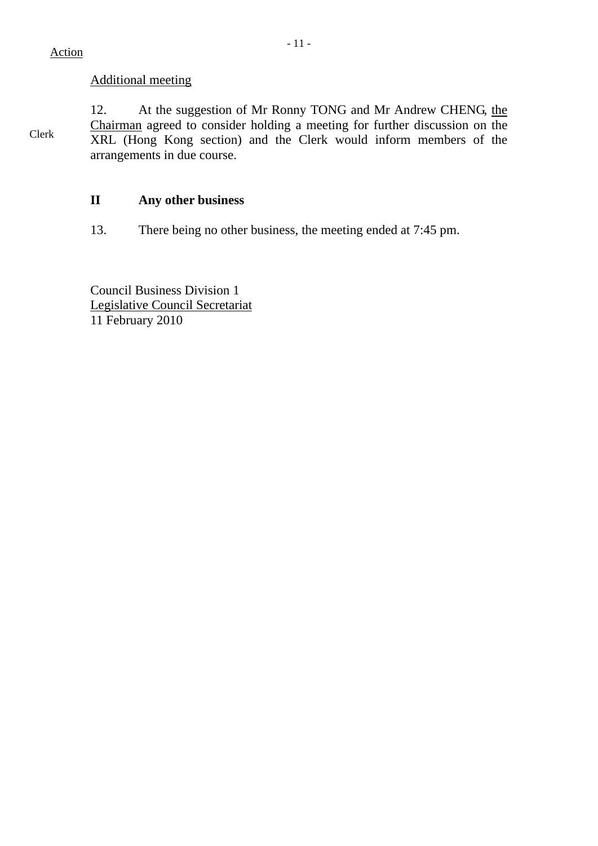## Additional meeting

Clerk 12. At the suggestion of Mr Ronny TONG and Mr Andrew CHENG, the Chairman agreed to consider holding a meeting for further discussion on the XRL (Hong Kong section) and the Clerk would inform members of the arrangements in due course.

## **II Any other business**

13. There being no other business, the meeting ended at 7:45 pm.

Council Business Division 1 Legislative Council Secretariat 11 February 2010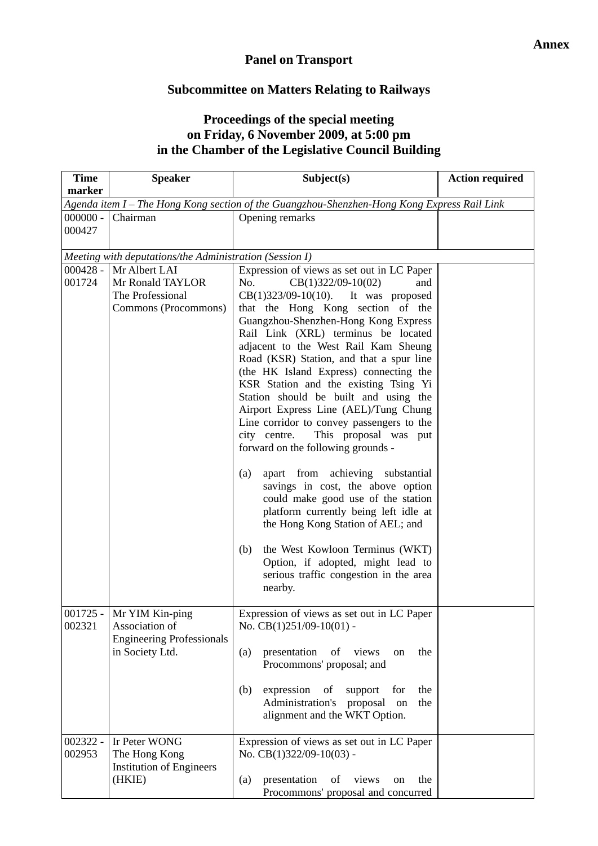## **Panel on Transport**

## **Subcommittee on Matters Relating to Railways**

## **Proceedings of the special meeting on Friday, 6 November 2009, at 5:00 pm in the Chamber of the Legislative Council Building**

| <b>Time</b>          | <b>Speaker</b>                                                                                    | Subject(s)                                                                                                                                                                                                                                                                                                                                                                                                                                                                                             | <b>Action required</b> |
|----------------------|---------------------------------------------------------------------------------------------------|--------------------------------------------------------------------------------------------------------------------------------------------------------------------------------------------------------------------------------------------------------------------------------------------------------------------------------------------------------------------------------------------------------------------------------------------------------------------------------------------------------|------------------------|
| marker               |                                                                                                   |                                                                                                                                                                                                                                                                                                                                                                                                                                                                                                        |                        |
|                      |                                                                                                   | Agenda item I - The Hong Kong section of the Guangzhou-Shenzhen-Hong Kong Express Rail Link                                                                                                                                                                                                                                                                                                                                                                                                            |                        |
| $000000 -$<br>000427 | Chairman                                                                                          | Opening remarks                                                                                                                                                                                                                                                                                                                                                                                                                                                                                        |                        |
|                      | Meeting with deputations/the Administration (Session I)                                           |                                                                                                                                                                                                                                                                                                                                                                                                                                                                                                        |                        |
| $000428 -$           | Mr Albert LAI                                                                                     | Expression of views as set out in LC Paper                                                                                                                                                                                                                                                                                                                                                                                                                                                             |                        |
| 001724               | Mr Ronald TAYLOR<br>The Professional<br>Commons (Procommons)                                      | No.<br>$CB(1)322/09-10(02)$<br>and<br>$CB(1)323/09-10(10)$ . It was proposed<br>that the Hong Kong section of the<br>Guangzhou-Shenzhen-Hong Kong Express<br>Rail Link (XRL) terminus be located<br>adjacent to the West Rail Kam Sheung<br>Road (KSR) Station, and that a spur line<br>(the HK Island Express) connecting the<br>KSR Station and the existing Tsing Yi<br>Station should be built and using the<br>Airport Express Line (AEL)/Tung Chung<br>Line corridor to convey passengers to the |                        |
|                      |                                                                                                   | city centre.<br>This proposal was put<br>forward on the following grounds -<br>apart from achieving substantial<br>(a)<br>savings in cost, the above option<br>could make good use of the station<br>platform currently being left idle at<br>the Hong Kong Station of AEL; and<br>the West Kowloon Terminus (WKT)<br>(b)<br>Option, if adopted, might lead to<br>serious traffic congestion in the area<br>nearby.                                                                                    |                        |
| 002321               | 001725 - Mr YIM Kin-ping<br>Association of<br><b>Engineering Professionals</b><br>in Society Ltd. | Expression of views as set out in LC Paper<br>No. $CB(1)251/09-10(01)$ -<br>presentation<br>of views<br>(a)<br>the<br>on<br>Procommons' proposal; and<br>the<br>(b)<br>expression<br>of<br>for<br>support<br>Administration's<br>proposal<br>the<br>on<br>alignment and the WKT Option.                                                                                                                                                                                                                |                        |
| 002322 -<br>002953   | Ir Peter WONG<br>The Hong Kong<br><b>Institution of Engineers</b><br>(HKIE)                       | Expression of views as set out in LC Paper<br>No. CB(1)322/09-10(03) -<br>presentation<br>of<br>views<br>the<br>(a)<br>on<br>Procommons' proposal and concurred                                                                                                                                                                                                                                                                                                                                        |                        |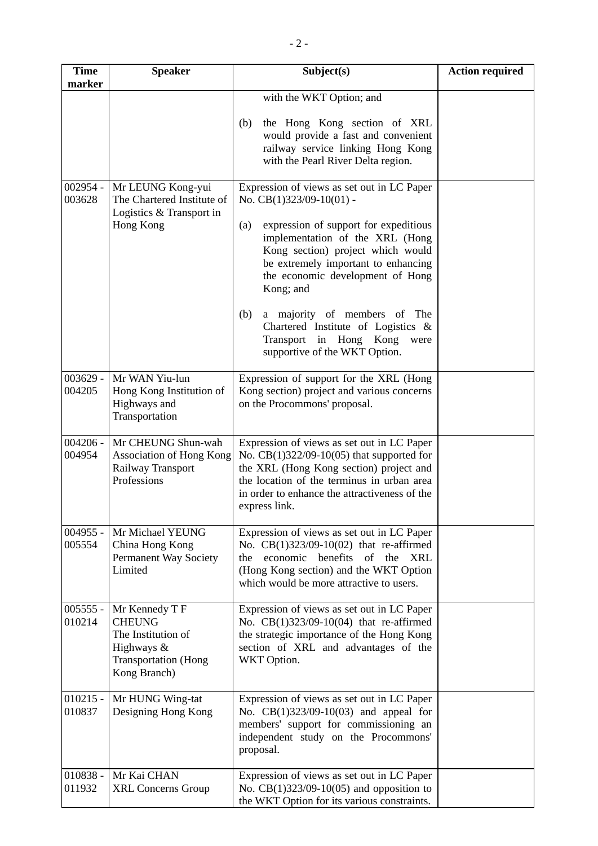| <b>Time</b><br>marker | <b>Speaker</b>                                                                                                     | Subject(s)                                                                                                                                                                                                                                           | <b>Action required</b> |
|-----------------------|--------------------------------------------------------------------------------------------------------------------|------------------------------------------------------------------------------------------------------------------------------------------------------------------------------------------------------------------------------------------------------|------------------------|
|                       |                                                                                                                    | with the WKT Option; and                                                                                                                                                                                                                             |                        |
|                       |                                                                                                                    | the Hong Kong section of XRL<br>(b)<br>would provide a fast and convenient<br>railway service linking Hong Kong<br>with the Pearl River Delta region.                                                                                                |                        |
| 002954 -<br>003628    | Mr LEUNG Kong-yui<br>The Chartered Institute of<br>Logistics & Transport in                                        | Expression of views as set out in LC Paper<br>No. CB(1)323/09-10(01) -                                                                                                                                                                               |                        |
|                       | Hong Kong                                                                                                          | expression of support for expeditious<br>(a)<br>implementation of the XRL (Hong<br>Kong section) project which would<br>be extremely important to enhancing<br>the economic development of Hong<br>Kong; and                                         |                        |
|                       |                                                                                                                    | (b)<br>a majority of members of The<br>Chartered Institute of Logistics &<br>Transport in Hong Kong<br>were<br>supportive of the WKT Option.                                                                                                         |                        |
| $003629 -$<br>004205  | Mr WAN Yiu-lun<br>Hong Kong Institution of<br>Highways and<br>Transportation                                       | Expression of support for the XRL (Hong<br>Kong section) project and various concerns<br>on the Procommons' proposal.                                                                                                                                |                        |
| $004206 -$<br>004954  | Mr CHEUNG Shun-wah<br>Association of Hong Kong<br>Railway Transport<br>Professions                                 | Expression of views as set out in LC Paper<br>No. $CB(1)322/09-10(05)$ that supported for<br>the XRL (Hong Kong section) project and<br>the location of the terminus in urban area<br>in order to enhance the attractiveness of the<br>express link. |                        |
| $004955 -$<br>005554  | Mr Michael YEUNG<br>China Hong Kong<br>Permanent Way Society<br>Limited                                            | Expression of views as set out in LC Paper<br>No. CB(1)323/09-10(02) that re-affirmed<br>the economic benefits of the XRL<br>(Hong Kong section) and the WKT Option<br>which would be more attractive to users.                                      |                        |
| $005555 -$<br>010214  | Mr Kennedy T F<br><b>CHEUNG</b><br>The Institution of<br>Highways &<br><b>Transportation</b> (Hong<br>Kong Branch) | Expression of views as set out in LC Paper<br>No. CB(1)323/09-10(04) that re-affirmed<br>the strategic importance of the Hong Kong<br>section of XRL and advantages of the<br>WKT Option.                                                            |                        |
| $010215 -$<br>010837  | Mr HUNG Wing-tat<br>Designing Hong Kong                                                                            | Expression of views as set out in LC Paper<br>No. CB(1)323/09-10(03) and appeal for<br>members' support for commissioning an<br>independent study on the Procommons'<br>proposal.                                                                    |                        |
| 010838 -<br>011932    | Mr Kai CHAN<br><b>XRL Concerns Group</b>                                                                           | Expression of views as set out in LC Paper<br>No. $CB(1)323/09-10(05)$ and opposition to<br>the WKT Option for its various constraints.                                                                                                              |                        |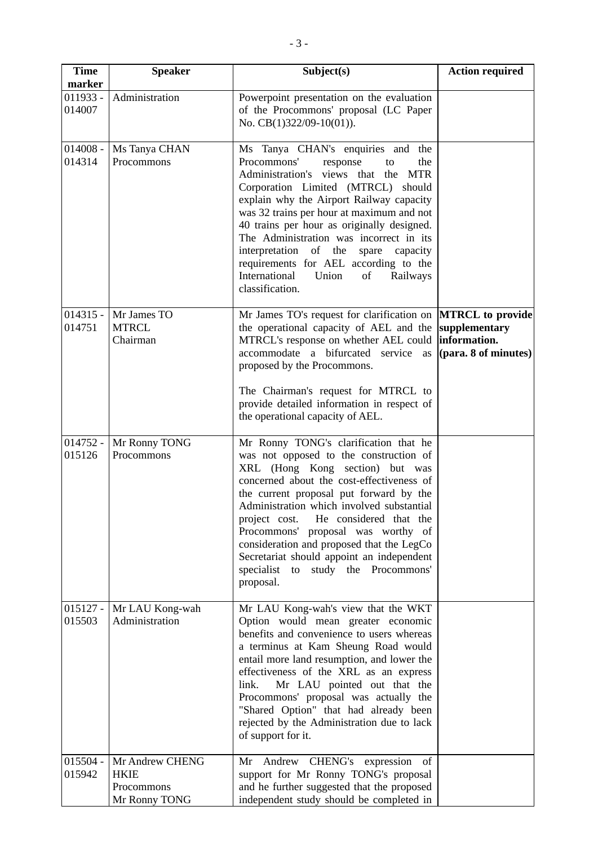| <b>Time</b>          | <b>Speaker</b>                                                | Subject(s)                                                                                                                                                                                                                                                                                                                                                                                                                                                                                               | <b>Action required</b>                                                           |
|----------------------|---------------------------------------------------------------|----------------------------------------------------------------------------------------------------------------------------------------------------------------------------------------------------------------------------------------------------------------------------------------------------------------------------------------------------------------------------------------------------------------------------------------------------------------------------------------------------------|----------------------------------------------------------------------------------|
| marker               |                                                               |                                                                                                                                                                                                                                                                                                                                                                                                                                                                                                          |                                                                                  |
| $011933 -$<br>014007 | Administration                                                | Powerpoint presentation on the evaluation<br>of the Procommons' proposal (LC Paper<br>No. CB(1)322/09-10(01)).                                                                                                                                                                                                                                                                                                                                                                                           |                                                                                  |
| $014008 -$<br>014314 | Ms Tanya CHAN<br>Procommons                                   | Ms Tanya CHAN's enquiries and the<br>Procommons'<br>response<br>the<br>to<br>Administration's views that the<br><b>MTR</b><br>Corporation Limited (MTRCL)<br>should<br>explain why the Airport Railway capacity<br>was 32 trains per hour at maximum and not<br>40 trains per hour as originally designed.<br>The Administration was incorrect in its<br>interpretation of the<br>spare capacity<br>requirements for AEL according to the<br>International<br>Union<br>of<br>Railways<br>classification. |                                                                                  |
| $014315 -$<br>014751 | Mr James TO<br><b>MTRCL</b><br>Chairman                       | Mr James TO's request for clarification on<br>the operational capacity of AEL and the<br>MTRCL's response on whether AEL could<br>accommodate a bifurcated service as<br>proposed by the Procommons.<br>The Chairman's request for MTRCL to<br>provide detailed information in respect of<br>the operational capacity of AEL.                                                                                                                                                                            | <b>MTRCL</b> to provide<br>supplementary<br>information.<br>(para. 8 of minutes) |
| $014752 -$<br>015126 | Mr Ronny TONG<br>Procommons                                   | Mr Ronny TONG's clarification that he<br>was not opposed to the construction of<br>XRL (Hong Kong section) but was<br>concerned about the cost-effectiveness of<br>the current proposal put forward by the<br>Administration which involved substantial<br>He considered that the<br>project cost.<br>Procommons' proposal was worthy of<br>consideration and proposed that the LegCo<br>Secretariat should appoint an independent<br>study the Procommons'<br>specialist<br>to<br>proposal.             |                                                                                  |
| $015127 -$<br>015503 | Mr LAU Kong-wah<br>Administration                             | Mr LAU Kong-wah's view that the WKT<br>Option would mean greater economic<br>benefits and convenience to users whereas<br>a terminus at Kam Sheung Road would<br>entail more land resumption, and lower the<br>effectiveness of the XRL as an express<br>Mr LAU pointed out that the<br>link.<br>Procommons' proposal was actually the<br>"Shared Option" that had already been<br>rejected by the Administration due to lack<br>of support for it.                                                      |                                                                                  |
| $015504 -$<br>015942 | Mr Andrew CHENG<br><b>HKIE</b><br>Procommons<br>Mr Ronny TONG | Mr Andrew CHENG's expression of<br>support for Mr Ronny TONG's proposal<br>and he further suggested that the proposed<br>independent study should be completed in                                                                                                                                                                                                                                                                                                                                        |                                                                                  |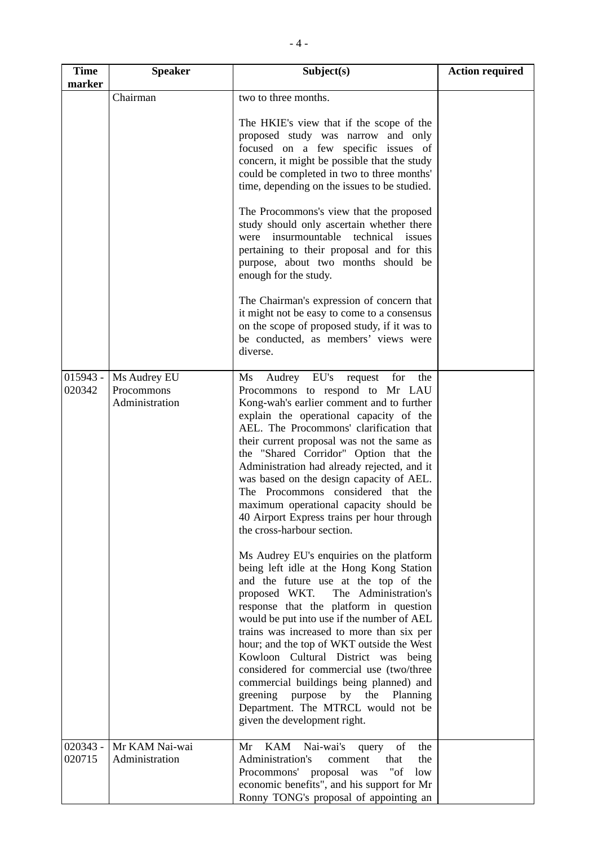| <b>Time</b>          | <b>Speaker</b>                               | Subject(s)                                                                                                                                                                                                                                                                                                                                                                                                                                                                                                                                                                                                                                                   | <b>Action required</b> |
|----------------------|----------------------------------------------|--------------------------------------------------------------------------------------------------------------------------------------------------------------------------------------------------------------------------------------------------------------------------------------------------------------------------------------------------------------------------------------------------------------------------------------------------------------------------------------------------------------------------------------------------------------------------------------------------------------------------------------------------------------|------------------------|
| marker               | Chairman                                     | two to three months.                                                                                                                                                                                                                                                                                                                                                                                                                                                                                                                                                                                                                                         |                        |
|                      |                                              | The HKIE's view that if the scope of the<br>proposed study was narrow and only<br>focused on a few specific issues of<br>concern, it might be possible that the study<br>could be completed in two to three months'<br>time, depending on the issues to be studied.<br>The Procommons's view that the proposed<br>study should only ascertain whether there<br>were insurmountable technical issues<br>pertaining to their proposal and for this<br>purpose, about two months should be<br>enough for the study.<br>The Chairman's expression of concern that<br>it might not be easy to come to a consensus<br>on the scope of proposed study, if it was to |                        |
|                      |                                              | be conducted, as members' views were<br>diverse.                                                                                                                                                                                                                                                                                                                                                                                                                                                                                                                                                                                                             |                        |
| $015943 -$<br>020342 | Ms Audrey EU<br>Procommons<br>Administration | Audrey EU's<br>Ms<br>request for<br>the<br>Procommons to respond to Mr LAU<br>Kong-wah's earlier comment and to further<br>explain the operational capacity of the<br>AEL. The Procommons' clarification that<br>their current proposal was not the same as<br>the "Shared Corridor" Option that the<br>Administration had already rejected, and it<br>was based on the design capacity of AEL.<br>The Procommons considered that the<br>maximum operational capacity should be<br>40 Airport Express trains per hour through<br>the cross-harbour section.<br>Ms Audrey EU's enquiries on the platform<br>being left idle at the Hong Kong Station          |                        |
|                      |                                              | and the future use at the top of the<br>The Administration's<br>proposed WKT.<br>response that the platform in question<br>would be put into use if the number of AEL<br>trains was increased to more than six per<br>hour; and the top of WKT outside the West<br>Kowloon Cultural District was being<br>considered for commercial use (two/three<br>commercial buildings being planned) and<br>greening purpose by the Planning<br>Department. The MTRCL would not be<br>given the development right.                                                                                                                                                      |                        |
| $020343 -$<br>020715 | Mr KAM Nai-wai<br>Administration             | KAM<br>Nai-wai's<br>the<br>Mr<br>query<br>of<br>Administration's<br>comment<br>that<br>the<br>Procommons' proposal was<br>"of<br>low<br>economic benefits", and his support for Mr<br>Ronny TONG's proposal of appointing an                                                                                                                                                                                                                                                                                                                                                                                                                                 |                        |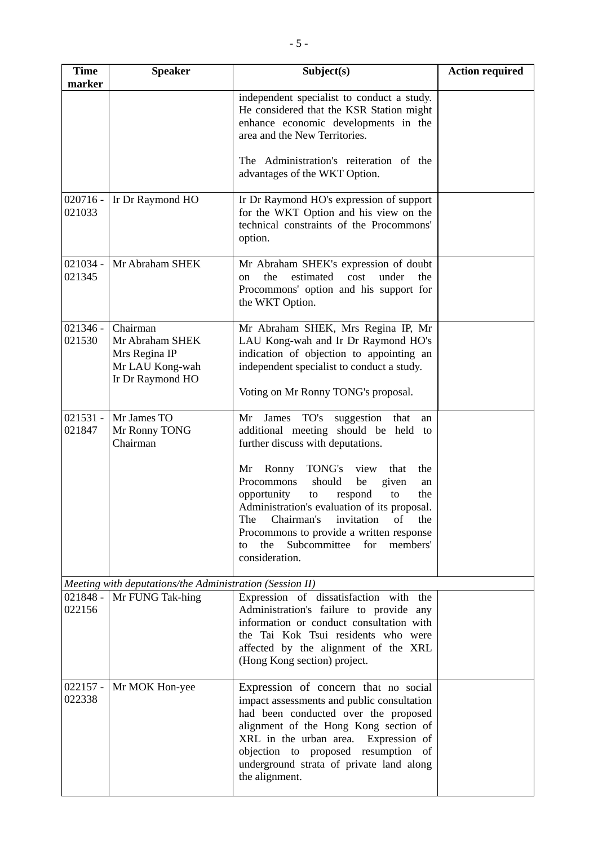| <b>Time</b><br>marker | <b>Speaker</b>                                                                      | Subject(s)                                                                                                                                                                                                                                                                                                                                        | <b>Action required</b> |
|-----------------------|-------------------------------------------------------------------------------------|---------------------------------------------------------------------------------------------------------------------------------------------------------------------------------------------------------------------------------------------------------------------------------------------------------------------------------------------------|------------------------|
|                       |                                                                                     | independent specialist to conduct a study.<br>He considered that the KSR Station might<br>enhance economic developments in the<br>area and the New Territories.                                                                                                                                                                                   |                        |
|                       |                                                                                     | The Administration's reiteration of the<br>advantages of the WKT Option.                                                                                                                                                                                                                                                                          |                        |
| $020716 -$<br>021033  | Ir Dr Raymond HO                                                                    | Ir Dr Raymond HO's expression of support<br>for the WKT Option and his view on the<br>technical constraints of the Procommons'<br>option.                                                                                                                                                                                                         |                        |
| $021034 -$<br>021345  | Mr Abraham SHEK                                                                     | Mr Abraham SHEK's expression of doubt<br>estimated<br>the<br>cost<br>under<br>the<br>$_{\rm on}$<br>Procommons' option and his support for<br>the WKT Option.                                                                                                                                                                                     |                        |
| $021346 -$<br>021530  | Chairman<br>Mr Abraham SHEK<br>Mrs Regina IP<br>Mr LAU Kong-wah<br>Ir Dr Raymond HO | Mr Abraham SHEK, Mrs Regina IP, Mr<br>LAU Kong-wah and Ir Dr Raymond HO's<br>indication of objection to appointing an<br>independent specialist to conduct a study.<br>Voting on Mr Ronny TONG's proposal.                                                                                                                                        |                        |
| $021531 -$<br>021847  | Mr James TO<br>Mr Ronny TONG<br>Chairman                                            | James TO's<br>that<br>Mr<br>suggestion<br>an<br>additional meeting should be held to<br>further discuss with deputations.                                                                                                                                                                                                                         |                        |
|                       |                                                                                     | Ronny<br>TONG's<br>Mr<br>view<br>that<br>the<br>Procommons<br>should<br>be<br>given<br>an<br>opportunity<br>respond<br>the<br>to<br>to<br>Administration's evaluation of its proposal.<br>Chairman's<br>The<br>invitation<br>of<br>the<br>Procommons to provide a written response<br>Subcommittee for<br>the<br>members'<br>to<br>consideration. |                        |
|                       | Meeting with deputations/the Administration (Session II)                            |                                                                                                                                                                                                                                                                                                                                                   |                        |
| $021848 -$<br>022156  | Mr FUNG Tak-hing                                                                    | Expression of dissatisfaction with the<br>Administration's failure to provide any<br>information or conduct consultation with<br>the Tai Kok Tsui residents who were<br>affected by the alignment of the XRL<br>(Hong Kong section) project.                                                                                                      |                        |
| $022157 -$<br>022338  | Mr MOK Hon-yee                                                                      | Expression of concern that no social<br>impact assessments and public consultation<br>had been conducted over the proposed<br>alignment of the Hong Kong section of<br>XRL in the urban area.<br>Expression of<br>objection to proposed resumption of<br>underground strata of private land along<br>the alignment.                               |                        |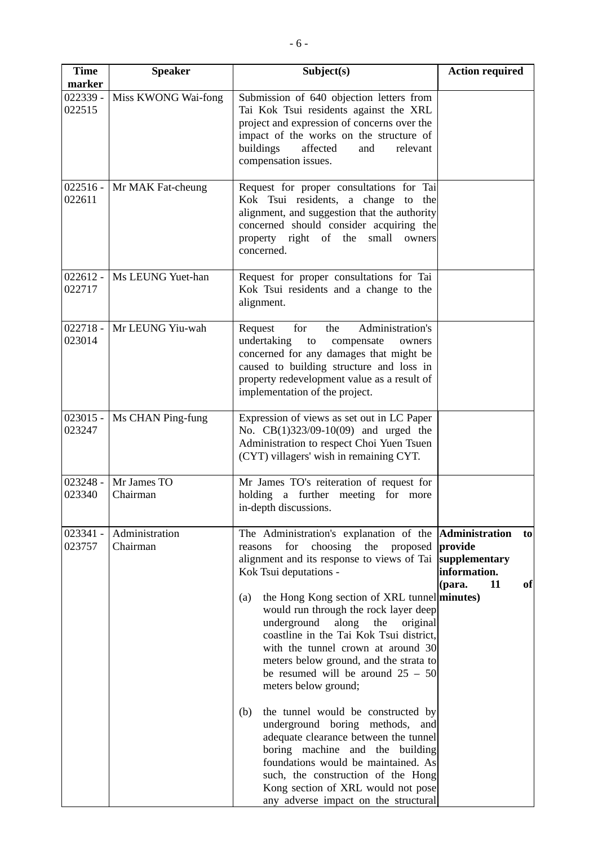| <b>Time</b><br>marker | <b>Speaker</b>             | Subject(s)                                                                                                                                                                                                                                                                                                                                                                                                                                                                                                                                                                                                                                                                                                               | <b>Action required</b>                                               |
|-----------------------|----------------------------|--------------------------------------------------------------------------------------------------------------------------------------------------------------------------------------------------------------------------------------------------------------------------------------------------------------------------------------------------------------------------------------------------------------------------------------------------------------------------------------------------------------------------------------------------------------------------------------------------------------------------------------------------------------------------------------------------------------------------|----------------------------------------------------------------------|
| 022339 -<br>022515    | Miss KWONG Wai-fong        | Submission of 640 objection letters from<br>Tai Kok Tsui residents against the XRL<br>project and expression of concerns over the<br>impact of the works on the structure of<br>buildings<br>affected<br>and<br>relevant<br>compensation issues.                                                                                                                                                                                                                                                                                                                                                                                                                                                                         |                                                                      |
| 022611                | 022516 - Mr MAK Fat-cheung | Request for proper consultations for Tai<br>Kok Tsui residents, a change to the<br>alignment, and suggestion that the authority<br>concerned should consider acquiring the<br>property right of the small<br>owners<br>concerned.                                                                                                                                                                                                                                                                                                                                                                                                                                                                                        |                                                                      |
| $022612 -$<br>022717  | Ms LEUNG Yuet-han          | Request for proper consultations for Tai<br>Kok Tsui residents and a change to the<br>alignment.                                                                                                                                                                                                                                                                                                                                                                                                                                                                                                                                                                                                                         |                                                                      |
| $022718 -$<br>023014  | Mr LEUNG Yiu-wah           | Administration's<br>Request<br>for<br>the<br>undertaking<br>to<br>compensate<br>owners<br>concerned for any damages that might be<br>caused to building structure and loss in<br>property redevelopment value as a result of<br>implementation of the project.                                                                                                                                                                                                                                                                                                                                                                                                                                                           |                                                                      |
| $023015 -$<br>023247  | Ms CHAN Ping-fung          | Expression of views as set out in LC Paper<br>No. CB(1)323/09-10(09) and urged the<br>Administration to respect Choi Yuen Tsuen<br>(CYT) villagers' wish in remaining CYT.                                                                                                                                                                                                                                                                                                                                                                                                                                                                                                                                               |                                                                      |
| $023248 -$<br>023340  | Mr James TO<br>Chairman    | Mr James TO's reiteration of request for<br>holding a further meeting for more<br>in-depth discussions.                                                                                                                                                                                                                                                                                                                                                                                                                                                                                                                                                                                                                  |                                                                      |
| 023341 -<br>023757    | Administration<br>Chairman | The Administration's explanation of the <b>Administration</b><br>for<br>choosing the proposed<br>reasons<br>alignment and its response to views of Tai<br>Kok Tsui deputations -<br>the Hong Kong section of XRL tunnel minutes)<br>(a)<br>would run through the rock layer deep<br>underground<br>along<br>the<br>original<br>coastline in the Tai Kok Tsui district,<br>with the tunnel crown at around 30<br>meters below ground, and the strata to<br>be resumed will be around $25 - 50$<br>meters below ground;<br>the tunnel would be constructed by<br>(b)<br>underground boring methods, and<br>adequate clearance between the tunnel<br>boring machine and the building<br>foundations would be maintained. As | to<br>provide<br>supplementary<br>information.<br>11<br>(para.<br>of |
|                       |                            | such, the construction of the Hong<br>Kong section of XRL would not pose<br>any adverse impact on the structural                                                                                                                                                                                                                                                                                                                                                                                                                                                                                                                                                                                                         |                                                                      |